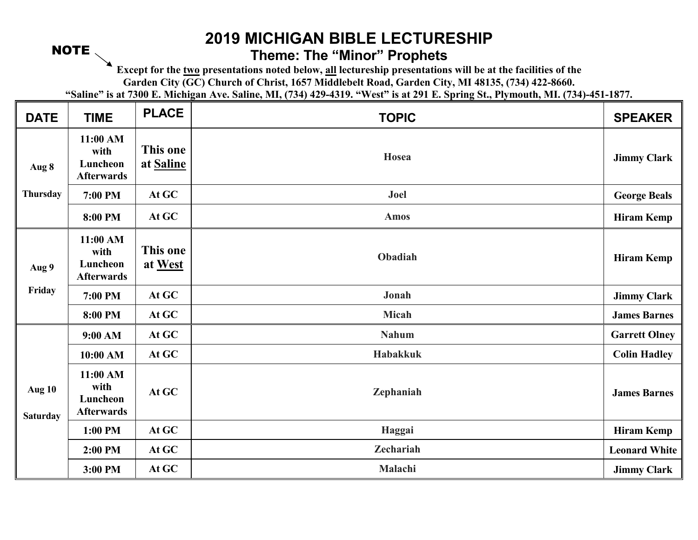## NOTE

## **2019 MICHIGAN BIBLE LECTURESHIP Theme: The "Minor" Prophets**

**Except for the two presentations noted below, all lectureship presentations will be at the facilities of the** 

**Garden City (GC) Church of Christ, 1657 Middlebelt Road, Garden City, MI 48135, (734) 422-8660.** 

**"Saline" is at 7300 E. Michigan Ave. Saline, MI, (734) 429-4319. "West" is at 291 E. Spring St., Plymouth, MI. (734)-451-1877.** 

| <b>DATE</b>                      | <b>TIME</b>                                       | <b>PLACE</b>          | <b>TOPIC</b>     | <b>SPEAKER</b>       |
|----------------------------------|---------------------------------------------------|-----------------------|------------------|----------------------|
| Aug 8                            | 11:00 AM<br>with<br>Luncheon<br><b>Afterwards</b> | This one<br>at Saline | Hosea            | <b>Jimmy Clark</b>   |
| <b>Thursday</b>                  | 7:00 PM                                           | At GC                 | Joel             | <b>George Beals</b>  |
|                                  | 8:00 PM                                           | At GC                 | <b>Amos</b>      | <b>Hiram Kemp</b>    |
| Aug 9                            | 11:00 AM<br>with<br>Luncheon<br><b>Afterwards</b> | This one<br>at West   | Obadiah          | <b>Hiram Kemp</b>    |
| Friday                           | 7:00 PM                                           | At GC                 | Jonah            | <b>Jimmy Clark</b>   |
|                                  | 8:00 PM                                           | At GC                 | Micah            | <b>James Barnes</b>  |
|                                  | 9:00 AM                                           | At GC                 | <b>Nahum</b>     | <b>Garrett Olney</b> |
|                                  | 10:00 AM                                          | At GC                 | Habakkuk         | <b>Colin Hadley</b>  |
| <b>Aug 10</b><br><b>Saturday</b> | 11:00 AM<br>with<br>Luncheon<br><b>Afterwards</b> | At GC                 | Zephaniah        | <b>James Barnes</b>  |
|                                  | 1:00 PM                                           | At GC                 | Haggai           | <b>Hiram Kemp</b>    |
|                                  | 2:00 PM                                           | At GC                 | <b>Zechariah</b> | <b>Leonard White</b> |
|                                  | 3:00 PM                                           | At GC                 | Malachi          | <b>Jimmy Clark</b>   |